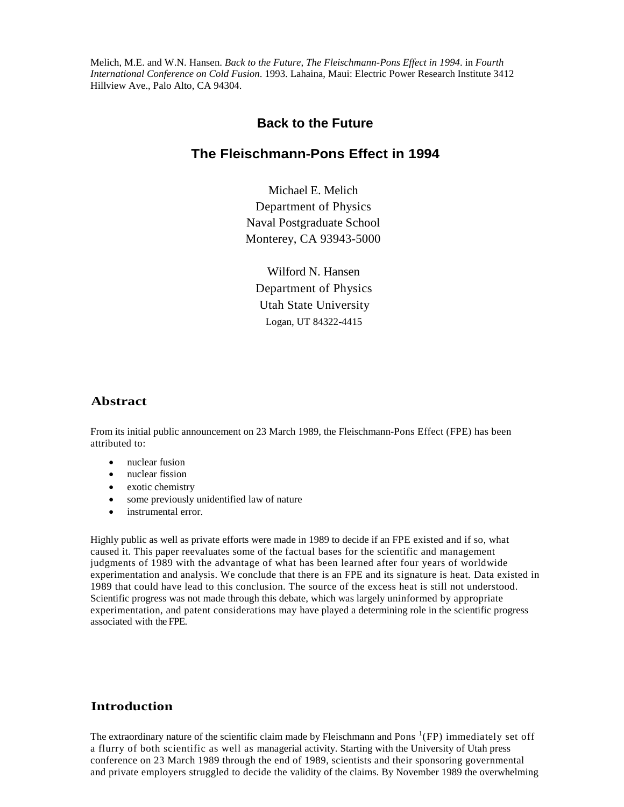Melich, M.E. and W.N. Hansen. *Back to the Future, The Fleischmann-Pons Effect in 1994*. in *Fourth International Conference on Cold Fusion*. 1993. Lahaina, Maui: Electric Power Research Institute 3412 Hillview Ave., Palo Alto, CA 94304.

# **Back to the Future**

# **The Fleischmann-Pons Effect in 1994**

Michael E. Melich Department of Physics Naval Postgraduate School Monterey, CA 93943-5000

Wilford N. Hansen Department of Physics Utah State University Logan, UT 84322-4415

#### **Abstract**

From its initial public announcement on 23 March 1989, the Fleischmann-Pons Effect (FPE) has been attributed to:

- nuclear fusion
- nuclear fission
- exotic chemistry
- some previously unidentified law of nature
- instrumental error.

Highly public as well as private efforts were made in 1989 to decide if an FPE existed and if so, what caused it. This paper reevaluates some of the factual bases for the scientific and management judgments of 1989 with the advantage of what has been learned after four years of worldwide experimentation and analysis. We conclude that there is an FPE and its signature is heat. Data existed in 1989 that could have lead to this conclusion. The source of the excess heat is still not understood. Scientific progress was not made through this debate, which was largely uninformed by appropriate experimentation, and patent considerations may have played a determining role in the scientific progress associated with the FPE.

### **Introduction**

The extraordinary nature of the scientific claim made by Fleischmann and Pons<sup>1</sup>(FP) immediately set off a flurry of both scientific as well as managerial activity. Starting with the University of Utah press conference on 23 March 1989 through the end of 1989, scientists and their sponsoring governmental and private employers struggled to decide the validity of the claims. By November 1989 the overwhelming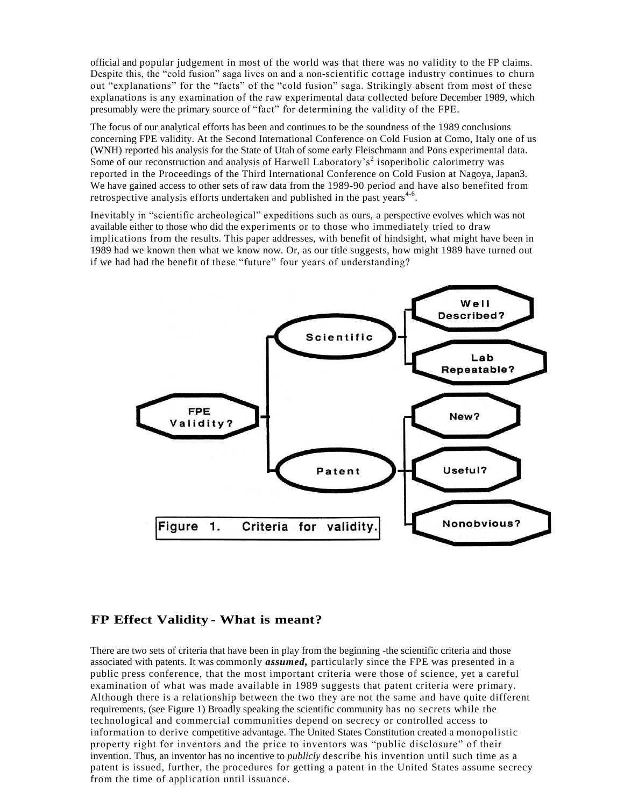official and popular judgement in most of the world was that there was no validity to the FP claims. Despite this, the "cold fusion" saga lives on and a non-scientific cottage industry continues to churn out "explanations" for the "facts" of the "cold fusion" saga. Strikingly absent from most of these explanations is any examination of the raw experimental data collected before December 1989, which presumably were the primary source of "fact" for determining the validity of the FPE.

The focus of our analytical efforts has been and continues to be the soundness of the 1989 conclusions concerning FPE validity. At the Second International Conference on Cold Fusion at Como, Italy one of us (WNH) reported his analysis for the State of Utah of some early Fleischmann and Pons experimental data. Some of our reconstruction and analysis of Harwell Laboratory's<sup>2</sup> isoperibolic calorimetry was reported in the Proceedings of the Third International Conference on Cold Fusion at Nagoya, Japan3. We have gained access to other sets of raw data from the 1989-90 period and have also benefited from retrospective analysis efforts undertaken and published in the past years<sup>4-6</sup>.

Inevitably in "scientific archeological" expeditions such as ours, a perspective evolves which was not available either to those who did the experiments or to those who immediately tried to draw implications from the results. This paper addresses, with benefit of hindsight, what might have been in 1989 had we known then what we know now. Or, as our title suggests, how might 1989 have turned out if we had had the benefit of these "future" four years of understanding?



#### **FP Effect Validity - What is meant?**

There are two sets of criteria that have been in play from the beginning -the scientific criteria and those associated with patents. It was commonly *assumed,* particularly since the FPE was presented in a public press conference, that the most important criteria were those of science, yet a careful examination of what was made available in 1989 suggests that patent criteria were primary. Although there is a relationship between the two they are not the same and have quite different requirements, (see Figure 1) Broadly speaking the scientific community has no secrets while the technological and commercial communities depend on secrecy or controlled access to information to derive competitive advantage. The United States Constitution created a monopolistic property right for inventors and the price to inventors was "public disclosure" of their invention. Thus, an inventor has no incentive to *publicly* describe his invention until such time as a patent is issued, further, the procedures for getting a patent in the United States assume secrecy from the time of application until issuance.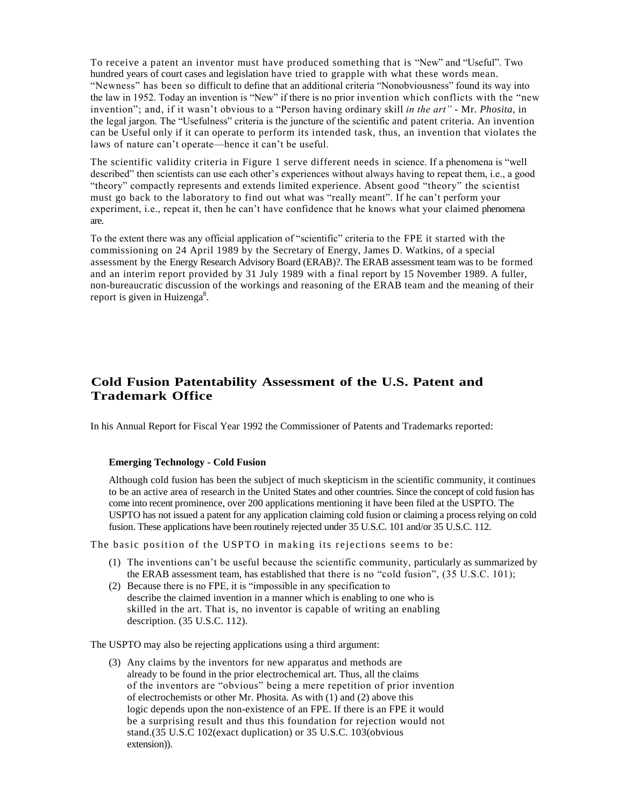To receive a patent an inventor must have produced something that is "New" and "Useful". Two hundred years of court cases and legislation have tried to grapple with what these words mean. "Newness" has been so difficult to define that an additional criteria "Nonobviousness" found its way into the law in 1952. Today an invention is "New" if there is no prior invention which conflicts with the "new invention"; and, if it wasn't obvious to a "Person having ordinary skill in the art" - Mr. Phosita, in the legal jargon. The "Usefulness" criteria is the juncture of the scientific and patent criteria. An invention can be Useful only if it can operate to perform its intended task, thus, an invention that violates the laws of nature can't operate—hence it can't be useful.

The scientific validity criteria in Figure 1 serve different needs in science. If a phenomena is "well described" then scientists can use each other's experiences without always having to repeat them, i.e., a good "theory" compactly represents and extends limited experience. Absent good "theory" the scientist must go back to the laboratory to find out what was "really meant". If he can't perform your experiment, i.e., repeat it, then he can't have confidence that he knows what your claimed phenomena are.

To the extent there was any official application of "scientific" criteria to the FPE it started with the commissioning on 24 April 1989 by the Secretary of Energy, James D. Watkins, of a special assessment by the Energy Research Advisory Board (ERAB)?. The ERAB assessment team was to be formed and an interim report provided by 31 July 1989 with a final report by 15 November 1989. A fuller, non-bureaucratic discussion of the workings and reasoning of the ERAB team and the meaning of their report is given in Huizenga<sup>8</sup>.

# **Cold Fusion Patentability Assessment of the U.S. Patent and Trademark Office**

In his Annual Report for Fiscal Year 1992 the Commissioner of Patents and Trademarks reported:

#### **Emerging Technology - Cold Fusion**

Although cold fusion has been the subject of much skepticism in the scientific community, it continues to be an active area of research in the United States and other countries. Since the concept of cold fusion has come into recent prominence, over 200 applications mentioning it have been filed at the USPTO. The USPTO has not issued a patent for any application claiming cold fusion or claiming a process relying on cold fusion. These applications have been routinely rejected under 35 U.S.C. 101 and/or 35 U.S.C. 112.

The basic position of the USPTO in making its rejections seems to be:

- (1) The inventions can't be useful because the scientific community, particularly as summarized by the ERAB assessment team, has established that there is no "cold fusion", (35 U.S.C. 101);
- (2) Because there is no FPE, it is "impossible in any specification to describe the claimed invention in a manner which is enabling to one who is skilled in the art. That is, no inventor is capable of writing an enabling description. (35 U.S.C. 112).

The USPTO may also be rejecting applications using a third argument:

(3) Any claims by the inventors for new apparatus and methods are already to be found in the prior electrochemical art. Thus, all the claims of the inventors are "obvious" being a mere repetition of prior invention of electrochemists or other Mr. Phosita. As with (1) and (2) above this logic depends upon the non-existence of an FPE. If there is an FPE it would be a surprising result and thus this foundation for rejection would not stand.(35 U.S.C 102(exact duplication) or 35 U.S.C. 103(obvious extension)).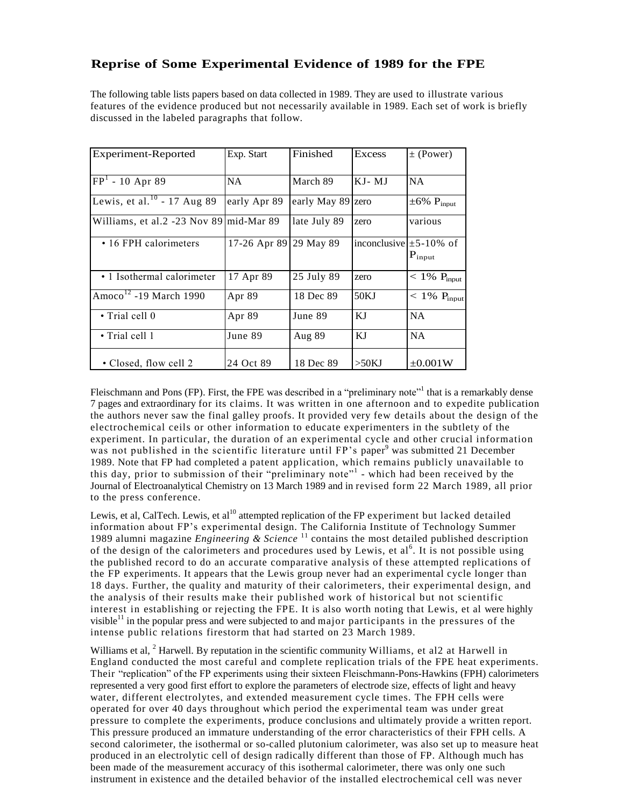# **Reprise of Some Experimental Evidence of 1989 for the FPE**

The following table lists papers based on data collected in 1989. They are used to illustrate various features of the evidence produced but not necessarily available in 1989. Each set of work is briefly discussed in the labeled paragraphs that follow.

| Experiment-Reported                                 | Exp. Start             | Finished          | <b>Excess</b>               | $\pm$ (Power)               |
|-----------------------------------------------------|------------------------|-------------------|-----------------------------|-----------------------------|
| $[FP1 - 10$ Apr 89                                  | NA.                    | March 89          | $KJ-MJ$                     | <b>NA</b>                   |
| Lewis, et al. <sup>10</sup> - 17 Aug 89             | early Apr 89           | early May 89 zero |                             | $\pm 6\% \text{ P}_{input}$ |
| Williams, et al.2 -23 Nov 89 mid-Mar 89             |                        | late July 89      | zero                        | various                     |
| • 16 FPH calorimeters                               | 17-26 Apr 89 29 May 89 |                   | inconclusive $\pm$ 5-10% of | $P_{input}$                 |
| • 1 Isothermal calorimeter                          | 17 Apr 89              | 25 July 89        | zero                        | $< 1\%$ P <sub>input</sub>  |
| $\sqrt{\text{Amoco}^{\frac{12}{}}}}$ -19 March 1990 | Apr 89                 | 18 Dec 89         | 50KJ                        | $< 1\%$ P <sub>input</sub>  |
| $\bullet$ Trial cell 0                              | Apr 89                 | June 89           | KJ                          | <b>NA</b>                   |
| $\cdot$ Trial cell 1                                | June 89                | Aug $89$          | KJ                          | <b>NA</b>                   |
| • Closed, flow cell 2                               | 24 Oct 89              | 18 Dec 89         | >50KJ                       | $\pm 0.001W$                |

Fleischmann and Pons (FP). First, the FPE was described in a "preliminary note" that is a remarkably dense 7 pages and extraordinary for its claims. It was written in one afternoon and to expedite publication the authors never saw the final galley proofs. It provided very few details about the design of the electrochemical ceils or other information to educate experimenters in the subtlety of the experiment. In particular, the duration of an experimental cycle and other crucial information was not published in the scientific literature until FP's paper<sup>9</sup> was submitted 21 December 1989. Note that FP had completed a patent application, which remains publicly unavailable to this day, prior to submission of their "preliminary note"<sup>1</sup> - which had been received by the Journal of Electroanalytical Chemistry on 13 March 1989 and in revised form 22 March 1989, all prior to the press conference.

Lewis, et al, CalTech. Lewis, et al<sup>10</sup> attempted replication of the FP experiment but lacked detailed information about FP's experimental design. The California Institute of Technology Summer 1989 alumni magazine *Engineering & Science* <sup>11</sup> contains the most detailed published description of the design of the calorimeters and procedures used by Lewis, et al.<sup>6</sup>. It is not possible using the published record to do an accurate comparative analysis of these attempted replications of the FP experiments. It appears that the Lewis group never had an experimental cycle longer than 18 days. Further, the quality and maturity of their calorimeters, their experimental design, and the analysis of their results make their published work of historical but not scientific interest in establishing or rejecting the FPE. It is also worth noting that Lewis, et al were highly visible $11$  in the popular press and were subjected to and major participants in the pressures of the intense public relations firestorm that had started on 23 March 1989.

Williams et al, <sup>2</sup> Harwell. By reputation in the scientific community Williams, et al2 at Harwell in England conducted the most careful and complete replication trials of the FPE heat experiments. Their "replication" of the FP experiments using their sixteen Fleischmann-Pons-Hawkins (FPH) calorimeters represented a very good first effort to explore the parameters of electrode size, effects of light and heavy water, different electrolytes, and extended measurement cycle times. The FPH cells were operated for over 40 days throughout which period the experimental team was under great pressure to complete the experiments, produce conclusions and ultimately provide a written report. This pressure produced an immature understanding of the error characteristics of their FPH cells. A second calorimeter, the isothermal or so-called plutonium calorimeter, was also set up to measure heat produced in an electrolytic cell of design radically different than those of FP. Although much has been made of the measurement accuracy of this isothermal calorimeter, there was only one such instrument in existence and the detailed behavior of the installed electrochemical cell was never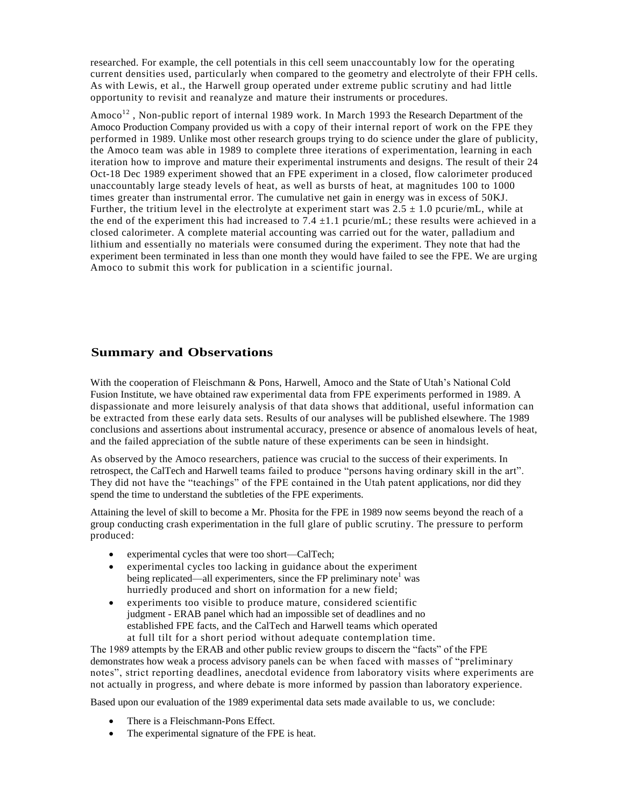researched. For example, the cell potentials in this cell seem unaccountably low for the operating current densities used, particularly when compared to the geometry and electrolyte of their FPH cells. As with Lewis, et al., the Harwell group operated under extreme public scrutiny and had little opportunity to revisit and reanalyze and mature their instruments or procedures.

Amoco<sup>12</sup>, Non-public report of internal 1989 work. In March 1993 the Research Department of the Amoco Production Company provided us with a copy of their internal report of work on the FPE they performed in 1989. Unlike most other research groups trying to do science under the glare of publicity, the Amoco team was able in 1989 to complete three iterations of experimentation, learning in each iteration how to improve and mature their experimental instruments and designs. The result of their 24 Oct-18 Dec 1989 experiment showed that an FPE experiment in a closed, flow calorimeter produced unaccountably large steady levels of heat, as well as bursts of heat, at magnitudes 100 to 1000 times greater than instrumental error. The cumulative net gain in energy was in excess of 50KJ. Further, the tritium level in the electrolyte at experiment start was  $2.5 \pm 1.0$  pcurie/mL, while at the end of the experiment this had increased to 7.4  $\pm$ 1.1 pcurie/mL; these results were achieved in a closed calorimeter. A complete material accounting was carried out for the water, palladium and lithium and essentially no materials were consumed during the experiment. They note that had the experiment been terminated in less than one month they would have failed to see the FPE. We are urging Amoco to submit this work for publication in a scientific journal.

## **Summary and Observations**

With the cooperation of Fleischmann & Pons, Harwell, Amoco and the State of Utah's National Cold Fusion Institute, we have obtained raw experimental data from FPE experiments performed in 1989. A dispassionate and more leisurely analysis of that data shows that additional, useful information can be extracted from these early data sets. Results of our analyses will be published elsewhere. The 1989 conclusions and assertions about instrumental accuracy, presence or absence of anomalous levels of heat, and the failed appreciation of the subtle nature of these experiments can be seen in hindsight.

As observed by the Amoco researchers, patience was crucial to the success of their experiments. In retrospect, the CalTech and Harwell teams failed to produce "persons having ordinary skill in the art". They did not have the "teachings" of the FPE contained in the Utah patent applications, nor did they spend the time to understand the subtleties of the FPE experiments.

Attaining the level of skill to become a Mr. Phosita for the FPE in 1989 now seems beyond the reach of a group conducting crash experimentation in the full glare of public scrutiny. The pressure to perform produced:

- experimental cycles that were too short—CalTech;
- experimental cycles too lacking in guidance about the experiment being replicated—all experimenters, since the FP preliminary note<sup>1</sup> was hurriedly produced and short on information for a new field;
- experiments too visible to produce mature, considered scientific judgment - ERAB panel which had an impossible set of deadlines and no established FPE facts, and the CalTech and Harwell teams which operated at full tilt for a short period without adequate contemplation time.

The 1989 attempts by the ERAB and other public review groups to discern the "facts" of the FPE demonstrates how weak a process advisory panels can be when faced with masses of "preliminary" notes", strict reporting deadlines, anecdotal evidence from laboratory visits where experiments are not actually in progress, and where debate is more informed by passion than laboratory experience.

Based upon our evaluation of the 1989 experimental data sets made available to us, we conclude:

- There is a Fleischmann-Pons Effect.
- The experimental signature of the FPE is heat.